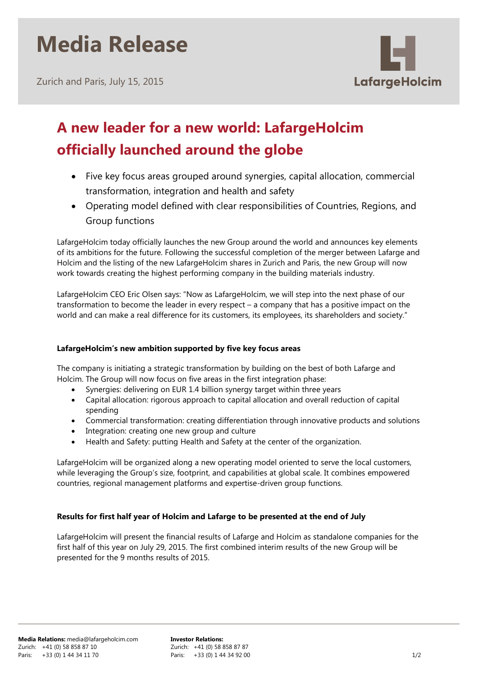# **Media Release**

Zurich and Paris, July 15, 2015



# **A new leader for a new world: LafargeHolcim officially launched around the globe**

- Five key focus areas grouped around synergies, capital allocation, commercial transformation, integration and health and safety
- Operating model defined with clear responsibilities of Countries, Regions, and Group functions

LafargeHolcim today officially launches the new Group around the world and announces key elements of its ambitions for the future. Following the successful completion of the merger between Lafarge and Holcim and the listing of the new LafargeHolcim shares in Zurich and Paris, the new Group will now work towards creating the highest performing company in the building materials industry.

LafargeHolcim CEO Eric Olsen says: "Now as LafargeHolcim, we will step into the next phase of our transformation to become the leader in every respect – a company that has a positive impact on the world and can make a real difference for its customers, its employees, its shareholders and society."

### **LafargeHolcim's new ambition supported by five key focus areas**

The company is initiating a strategic transformation by building on the best of both Lafarge and Holcim. The Group will now focus on five areas in the first integration phase:

- Synergies: delivering on EUR 1.4 billion synergy target within three years
- Capital allocation: rigorous approach to capital allocation and overall reduction of capital spending
- Commercial transformation: creating differentiation through innovative products and solutions
- Integration: creating one new group and culture
- Health and Safety: putting Health and Safety at the center of the organization.

LafargeHolcim will be organized along a new operating model oriented to serve the local customers, while leveraging the Group's size, footprint, and capabilities at global scale. It combines empowered countries, regional management platforms and expertise-driven group functions.

### **Results for first half year of Holcim and Lafarge to be presented at the end of July**

LafargeHolcim will present the financial results of Lafarge and Holcim as standalone companies for the first half of this year on July 29, 2015. The first combined interim results of the new Group will be presented for the 9 months results of 2015.